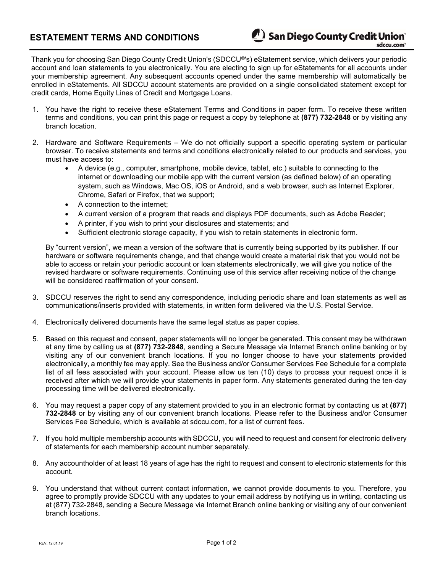Thank you for choosing San Diego County Credit Union's (SDCCU®'s) eStatement service, which delivers your periodic account and loan statements to you electronically. You are electing to sign up for eStatements for all accounts under your membership agreement. Any subsequent accounts opened under the same membership will automatically be enrolled in eStatements. All SDCCU account statements are provided on a single consolidated statement except for credit cards, Home Equity Lines of Credit and Mortgage Loans.

- 1. You have the right to receive these eStatement Terms and Conditions in paper form. To receive these written terms and conditions, you can print this page or request a copy by telephone at (877) 732-2848 or by visiting any branch location.
- 2. Hardware and Software Requirements We do not officially support a specific operating system or particular browser. To receive statements and terms and conditions electronically related to our products and services, you must have access to:
	- A device (e.g., computer, smartphone, mobile device, tablet, etc.) suitable to connecting to the internet or downloading our mobile app with the current version (as defined below) of an operating system, such as Windows, Mac OS, iOS or Android, and a web browser, such as Internet Explorer, Chrome, Safari or Firefox, that we support;
	- A connection to the internet:
	- A current version of a program that reads and displays PDF documents, such as Adobe Reader;
	- A printer, if you wish to print your disclosures and statements; and
	- Sufficient electronic storage capacity, if you wish to retain statements in electronic form.

By "current version", we mean a version of the software that is currently being supported by its publisher. If our hardware or software requirements change, and that change would create a material risk that you would not be able to access or retain your periodic account or loan statements electronically, we will give you notice of the revised hardware or software requirements. Continuing use of this service after receiving notice of the change will be considered reaffirmation of your consent.

- 3. SDCCU reserves the right to send any correspondence, including periodic share and loan statements as well as communications/inserts provided with statements, in written form delivered via the U.S. Postal Service.
- 4. Electronically delivered documents have the same legal status as paper copies.
- 5. Based on this request and consent, paper statements will no longer be generated. This consent may be withdrawn at any time by calling us at (877) 732-2848, sending a Secure Message via Internet Branch online banking or by visiting any of our convenient branch locations. If you no longer choose to have your statements provided electronically, a monthly fee may apply. See the Business and/or Consumer Services Fee Schedule for a complete list of all fees associated with your account. Please allow us ten (10) days to process your request once it is received after which we will provide your statements in paper form. Any statements generated during the ten-day processing time will be delivered electronically.
- 6. You may request a paper copy of any statement provided to you in an electronic format by contacting us at (877) 732-2848 or by visiting any of our convenient branch locations. Please refer to the Business and/or Consumer Services Fee Schedule, which is available at sdccu.com, for a list of current fees.
- 7. If you hold multiple membership accounts with SDCCU, you will need to request and consent for electronic delivery of statements for each membership account number separately.
- 8. Any accountholder of at least 18 years of age has the right to request and consent to electronic statements for this account.
- 9. You understand that without current contact information, we cannot provide documents to you. Therefore, you agree to promptly provide SDCCU with any updates to your email address by notifying us in writing, contacting us at (877) 732-2848, sending a Secure Message via Internet Branch online banking or visiting any of our convenient branch locations.